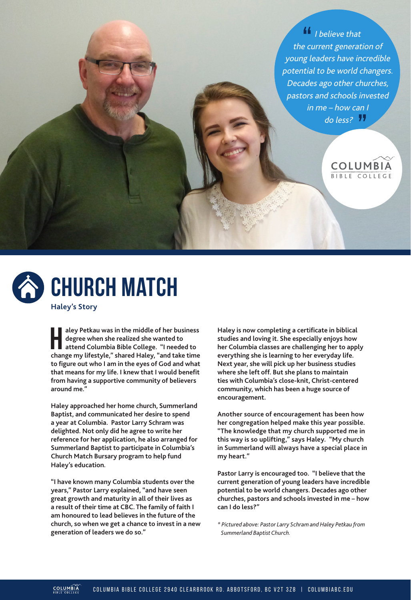$\frac{11}{1}$  I believe that the current generation of young leaders have incredible potential to be world changers. Decades ago other churches, pastors and schools invested in me – how can I do less?





**H aley Petkau was in the middle of her business degree when she realized she wanted to attend Columbia Bible College. "I needed to change my lifestyle," shared Haley, "and take time to figure out who I am in the eyes of God and what that means for my life. I knew that I would benefit from having a supportive community of believers around me."**

**Haley approached her home church, Summerland Baptist, and communicated her desire to spend a year at Columbia. Pastor Larry Schram was delighted. Not only did he agree to write her reference for her application, he also arranged for Summerland Baptist to participate in Columbia's Church Match Bursary program to help fund Haley's education.**

**"I have known many Columbia students over the years," Pastor Larry explained, "and have seen great growth and maturity in all of their lives as a result of their time at CBC. The family of faith I am honoured to lead believes in the future of the church, so when we get a chance to invest in a new generation of leaders we do so."**

**Haley is now completing a certificate in biblical studies and loving it. She especially enjoys how her Columbia classes are challenging her to apply everything she is learning to her everyday life. Next year, she will pick up her business studies where she left off. But she plans to maintain ties with Columbia's close-knit, Christ-centered community, which has been a huge source of encouragement.**

**Another source of encouragement has been how her congregation helped make this year possible. "The knowledge that my church supported me in this way is so uplifting," says Haley. "My church in Summerland will always have a special place in my heart."**

**Pastor Larry is encouraged too. "I believe that the current generation of young leaders have incredible potential to be world changers. Decades ago other churches, pastors and schools invested in me – how can I do less?"** 

*\* Pictured above: Pastor Larry Schram and Haley Petkau from Summerland Baptist Church.*